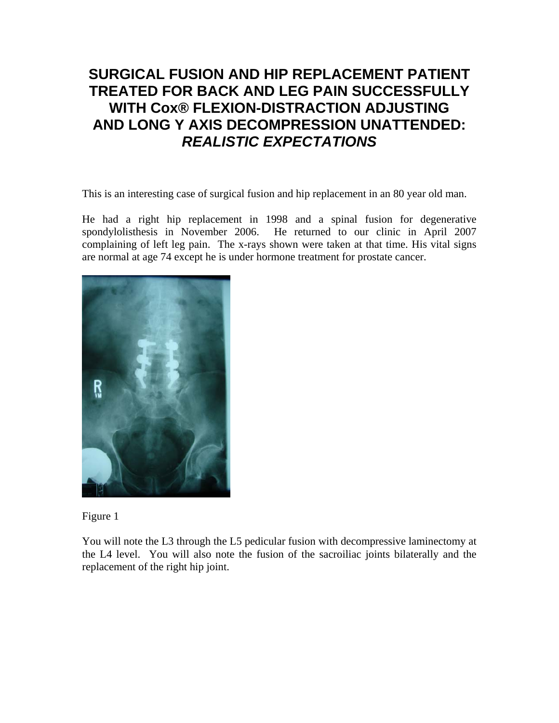## **SURGICAL FUSION AND HIP REPLACEMENT PATIENT TREATED FOR BACK AND LEG PAIN SUCCESSFULLY WITH Cox® FLEXION-DISTRACTION ADJUSTING AND LONG Y AXIS DECOMPRESSION UNATTENDED:**  *REALISTIC EXPECTATIONS*

This is an interesting case of surgical fusion and hip replacement in an 80 year old man.

He had a right hip replacement in 1998 and a spinal fusion for degenerative spondylolisthesis in November 2006. He returned to our clinic in April 2007 complaining of left leg pain. The x-rays shown were taken at that time. His vital signs are normal at age 74 except he is under hormone treatment for prostate cancer.



Figure 1

You will note the L3 through the L5 pedicular fusion with decompressive laminectomy at the L4 level. You will also note the fusion of the sacroiliac joints bilaterally and the replacement of the right hip joint.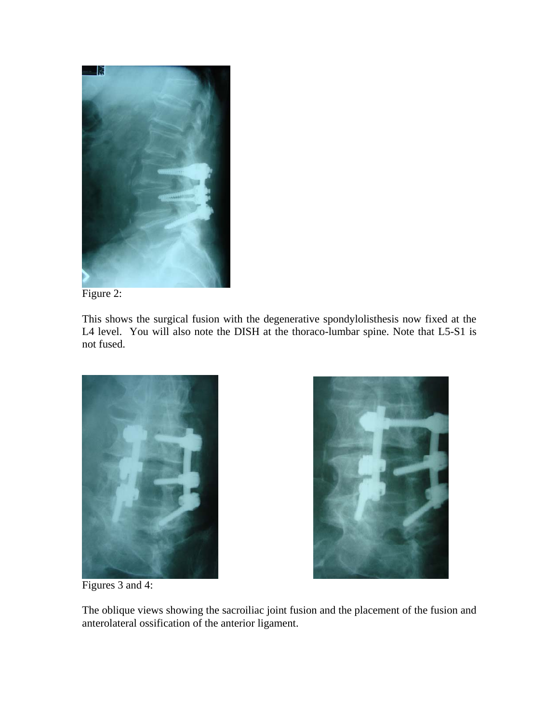



This shows the surgical fusion with the degenerative spondylolisthesis now fixed at the L4 level. You will also note the DISH at the thoraco-lumbar spine. Note that L5-S1 is not fused.





Figures 3 and 4:

The oblique views showing the sacroiliac joint fusion and the placement of the fusion and anterolateral ossification of the anterior ligament.

 $\begin{array}{c} \hline \end{array}$